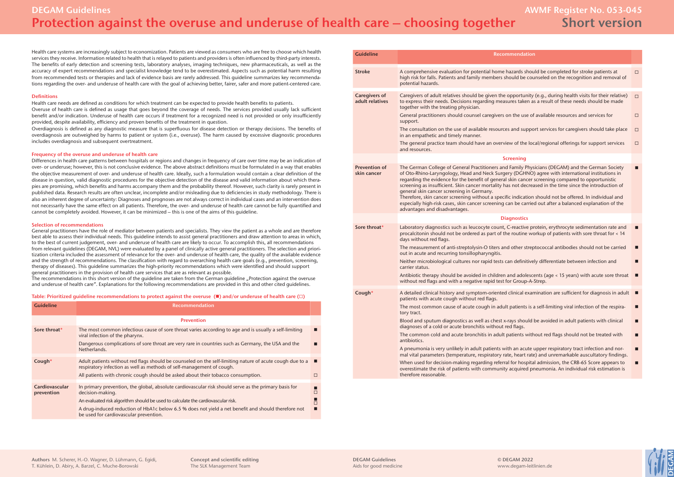Health care systems are increasingly subject to economization. Patients are viewed as consumers who are free to choose which health services they receive. Information related to health that is relayed to patients and providers is often influenced by third-party interests. The benefits of early detection and screening tests, laboratory analyses, imaging techniques, new pharmaceuticals, as well as the accuracy of expert recommendations and specialist knowledge tend to be overestimated. Aspects such as potential harm resulting from recommended tests or therapies and lack of evidence basis are rarely addressed. This guideline summarizes key recommendations regarding the over- and underuse of health care with the goal of achieving better, fairer, safer and more patient-centered care.

#### **Definitions**

Health care needs are defined as conditions for which treatment can be expected to provide health benefits to patients. Overuse of health care is defined as usage that goes beyond the coverage of needs. The services provided usually lack sufficient benefit and/or indication. Underuse of health care occurs if treatment for a recognized need is not provided or only insufficiently provided, despite availability, efficiency and proven benefits of the treatment in question.

Overdiagnosis is defined as any diagnostic measure that is superfluous for disease detection or therapy decisions. The benefits of overdiagnosis are outweighed by harms to patient or system (i.e., overuse). The harm caused by excessive diagnostic procedures includes overdiagnosis and subsequent overtreatment.

## **Frequency of the overuse and underuse of health care**

Differences in health care patterns between hospitals or regions and changes in frequency of care over time may be an indication of over- or underuse; however, this is not conclusive evidence. The above abstract definitions must be formulated in a way that enables the objective measurement of over- and underuse of health care. Ideally, such a formulation would contain a clear definition of the disease in question, valid diagnostic procedures for the objective detection of the disease and valid information about which therapies are promising, which benefits and harms accompany them and the probability thereof. However, such clarity is rarely present in published data. Research results are often unclear, incomplete and/or misleading due to deficiencies in study methodology. There is also an inherent degree of uncertainty: Diagnoses and prognoses are not always correct in individual cases and an intervention does not necessarily have the same effect on all patients. Therefore, the over- and underuse of health care cannot be fully quantified and cannot be completely avoided. However, it can be minimized – this is one of the aims of this guideline.

## **Selection of recommendations**

General practitioners have the role of mediator between patients and specialists. They view the patient as a whole and are therefore best able to assess their individual needs. This guideline intends to assist general practitioners and draw attention to areas in which, to the best of current judgement, over- and underuse of health care are likely to occur. To accomplish this, all recommendations from relevant guidelines (DEGAM, NVL) were evaluated by a panel of clinically active general practitioners. The selection and prioritization criteria included the assessment of relevance for the over- and underuse of health care, the quality of the available evidence and the strength of recommendations. The classification with regard to overarching health care goals (e.g., prevention, screening, therapy of diseases). This guideline summarizes the high-priority recommendations which were identified and should support general practitioners in the provision of health care services that are as relevant as possible.

The recommendations in this short version of the quideline are taken from the German quideline "Protection against the overuse and underuse of health care". Explanations for the following recommendations are provided in this and other cited guidelines.

# **Table: Prioritized guideline recommendations to protect against the overuse (** $\blacksquare$ **) and/or underuse of health care (** $\square$ **)**

| <b>Guideline</b>             | <b>Recommendation</b>                                                                                                                                                                                                                                                 |        |
|------------------------------|-----------------------------------------------------------------------------------------------------------------------------------------------------------------------------------------------------------------------------------------------------------------------|--------|
|                              | <b>Prevention</b>                                                                                                                                                                                                                                                     |        |
| Sore throat*                 | The most common infectious cause of sore throat varies according to age and is usually a self-limiting<br>viral infection of the pharynx.                                                                                                                             |        |
|                              | Dangerous complications of sore throat are very rare in countries such as Germany, the USA and the<br>Netherlands.                                                                                                                                                    |        |
| Cough*                       | Adult patients without red flags should be counseled on the self-limiting nature of acute cough due to a<br>respiratory infection as well as methods of self-management of cough.<br>All patients with chronic cough should be asked about their tobacco consumption. | п<br>п |
|                              |                                                                                                                                                                                                                                                                       |        |
| Cardiovascular<br>prevention | In primary prevention, the global, absolute cardiovascular risk should serve as the primary basis for<br>decision-making.                                                                                                                                             | П      |
|                              | An evaluated risk algorithm should be used to calculate the cardiovascular risk.                                                                                                                                                                                      | П      |
|                              | A drug-induced reduction of HbA1c below 6.5 % does not yield a net benefit and should therefore not<br>be used for cardiovascular prevention.                                                                                                                         |        |

| <b>Recommendation</b>                                                                                                                                                                                                                                                                                                                                                                                                                                                                                                                                                         |        |
|-------------------------------------------------------------------------------------------------------------------------------------------------------------------------------------------------------------------------------------------------------------------------------------------------------------------------------------------------------------------------------------------------------------------------------------------------------------------------------------------------------------------------------------------------------------------------------|--------|
| A comprehensive evaluation for potential home hazards should be completed for stroke patients at<br>high risk for falls. Patients and family members should be counseled on the recognition and removal of<br>potential hazards.                                                                                                                                                                                                                                                                                                                                              | $\Box$ |
| Caregivers of adult relatives should be given the opportunity (e.g., during health visits for their relative)<br>to express their needs. Decisions regarding measures taken as a result of these needs should be made<br>together with the treating physician.                                                                                                                                                                                                                                                                                                                | $\Box$ |
| General practitioners should counsel caregivers on the use of available resources and services for<br>support.                                                                                                                                                                                                                                                                                                                                                                                                                                                                | $\Box$ |
| The consultation on the use of available resources and support services for caregivers should take place<br>in an empathetic and timely manner.                                                                                                                                                                                                                                                                                                                                                                                                                               | $\Box$ |
| The general practice team should have an overview of the local/regional offerings for support services<br>and resources.                                                                                                                                                                                                                                                                                                                                                                                                                                                      | $\Box$ |
| <b>Screening</b>                                                                                                                                                                                                                                                                                                                                                                                                                                                                                                                                                              |        |
| The German College of General Practitioners and Family Physicians (DEGAM) and the German Society<br>of Oto-Rhino-Laryngology, Head and Neck Surgery (DGHNO) agree with international institutions in<br>regarding the evidence for the benefit of general skin cancer screening compared to opportunistic<br>screening as insufficient. Skin cancer mortality has not decreased in the time since the introduction of<br>general skin cancer screening in Germany.<br>Therefore, skin cancer screening without a specific indication should not be offered. In individual and | □      |
| especially high-risk cases, skin cancer screening can be carried out after a balanced explanation of the<br>advantages and disadvantages.                                                                                                                                                                                                                                                                                                                                                                                                                                     |        |
| <b>Diagnostics</b>                                                                                                                                                                                                                                                                                                                                                                                                                                                                                                                                                            |        |
| Laboratory diagnostics such as leucocyte count, C-reactive protein, erythrocyte sedimentation rate and<br>procalcitonin should not be ordered as part of the routine workup of patients with sore throat for < 14<br>days without red flags.                                                                                                                                                                                                                                                                                                                                  | П      |
| The measurement of anti-streptolysin-O titers and other streptococcal antibodies should not be carried<br>out in acute and recurring tonsillopharyngitis.                                                                                                                                                                                                                                                                                                                                                                                                                     | П      |
| Neither microbiological cultures nor rapid tests can definitively differentiate between infection and<br>carrier status.                                                                                                                                                                                                                                                                                                                                                                                                                                                      | П      |
| Antibiotic therapy should be avoided in children and adolescents (age < 15 years) with acute sore throat<br>without red flags and with a negative rapid test for Group-A-Strep.                                                                                                                                                                                                                                                                                                                                                                                               |        |
| A detailed clinical history and symptom-oriented clinical examination are sufficient for diagnosis in adult<br>patients with acute cough without red flags.                                                                                                                                                                                                                                                                                                                                                                                                                   | П      |
| The most common cause of acute cough in adult patients is a self-limiting viral infection of the respira-<br>tory tract.                                                                                                                                                                                                                                                                                                                                                                                                                                                      | П      |
| Blood and sputum diagnostics as well as chest x-rays should be avoided in adult patients with clinical<br>diagnoses of a cold or acute bronchitis without red flags.                                                                                                                                                                                                                                                                                                                                                                                                          | г      |
| The common cold and acute bronchitis in adult patients without red flags should not be treated with<br>antibiotics.                                                                                                                                                                                                                                                                                                                                                                                                                                                           | П      |
| A pneumonia is very unlikely in adult patients with an acute upper respiratory tract infection and nor-<br>mal vital parameters (temperature, respiratory rate, heart rate) and unremarkable auscultatory findings.                                                                                                                                                                                                                                                                                                                                                           | ■      |
| When used for decision-making regarding referral for hospital admission, the CRB-65 Score appears to<br>overestimate the risk of patients with community acquired pneumonia. An individual risk estimation is<br>therefore reasonable.                                                                                                                                                                                                                                                                                                                                        | П      |
|                                                                                                                                                                                                                                                                                                                                                                                                                                                                                                                                                                               |        |

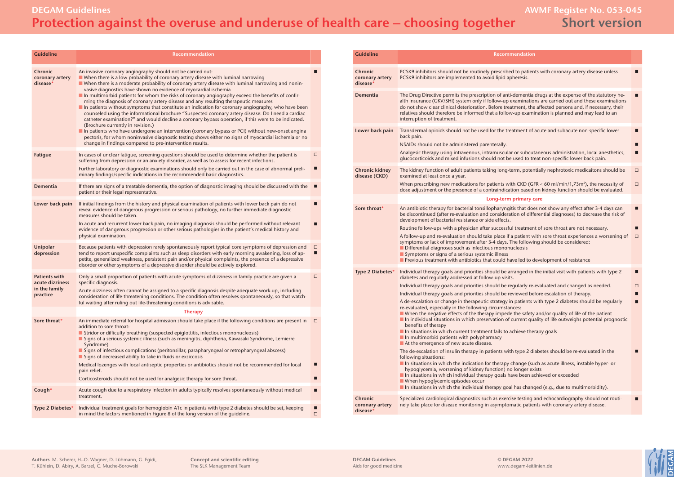# **DEGAM Guidelines AWMF Register No. 053-045 Protection against the overuse and underuse of health care – choosing together**

# **Short version**

| <b>Guideline</b>                                                     | <b>Recommendation</b>                                                                                                                                                                                                                                                                                                                                                                                                                                                                                                                                                                                                                                                                                                                                                                                                                                                                                                                                                                                                                                                                                                                                                                  |             |
|----------------------------------------------------------------------|----------------------------------------------------------------------------------------------------------------------------------------------------------------------------------------------------------------------------------------------------------------------------------------------------------------------------------------------------------------------------------------------------------------------------------------------------------------------------------------------------------------------------------------------------------------------------------------------------------------------------------------------------------------------------------------------------------------------------------------------------------------------------------------------------------------------------------------------------------------------------------------------------------------------------------------------------------------------------------------------------------------------------------------------------------------------------------------------------------------------------------------------------------------------------------------|-------------|
| <b>Chronic</b><br>coronary artery<br>disease*                        | An invasive coronary angiography should not be carried out:<br>$\blacksquare$ When there is a low probability of coronary artery disease with luminal narrowing<br>■ When there is a moderate probability of coronary artery disease with luminal narrowing and nonin-<br>vasive diagnostics have shown no evidence of myocardial ischemia<br>$\blacksquare$ In multimorbid patients for whom the risks of coronary angiography exceed the benefits of confir-<br>ming the diagnosis of coronary artery disease and any resulting therapeutic measures<br>In patients without symptoms that constitute an indication for coronary angiography, who have been<br>counseled using the informational brochure "Suspected coronary artery disease: Do I need a cardiac<br>catheter examination?" and would decline a coronary bypass operation, if this were to be indicated.<br>(Brochure currently in revision.)<br>In patients who have undergone an intervention (coronary bypass or PCI) without new-onset angina<br>pectoris, for whom noninvasive diagnostic testing shows either no signs of myocardial ischemia or no<br>change in findings compared to pre-intervention results. | П           |
| Fatigue                                                              | In cases of unclear fatigue, screening questions should be used to determine whether the patient is<br>suffering from depression or an anxiety disorder, as well as to assess for recent infections.<br>Further laboratory or diagnostic examinations should only be carried out in the case of abnormal preli-<br>minary findings/specific indications in the recommended basic diagnostics.                                                                                                                                                                                                                                                                                                                                                                                                                                                                                                                                                                                                                                                                                                                                                                                          | $\Box$<br>П |
| <b>Dementia</b>                                                      | If there are signs of a treatable dementia, the option of diagnostic imaging should be discussed with the<br>patient or their legal representative.                                                                                                                                                                                                                                                                                                                                                                                                                                                                                                                                                                                                                                                                                                                                                                                                                                                                                                                                                                                                                                    | п           |
| Lower back pain                                                      | If initial findings from the history and physical examination of patients with lower back pain do not<br>reveal evidence of dangerous progression or serious pathology, no further immediate diagnostic<br>measures should be taken.<br>In acute and recurrent lower back pain, no imaging diagnosis should be performed without relevant<br>evidence of dangerous progression or other serious pathologies in the patient's medical history and<br>physical examination.                                                                                                                                                                                                                                                                                                                                                                                                                                                                                                                                                                                                                                                                                                              | П<br>п      |
| Unipolar<br>depression                                               | Because patients with depression rarely spontaneously report typical core symptoms of depression and<br>tend to report unspecific complaints such as sleep disorders with early morning awakening, loss of ap-<br>petite, generalized weakness, persistent pain and/or physical complaints, the presence of a depressive<br>disorder or other symptoms of a depressive disorder should be actively explored.                                                                                                                                                                                                                                                                                                                                                                                                                                                                                                                                                                                                                                                                                                                                                                           | $\Box$<br>□ |
| <b>Patients with</b><br>acute dizziness<br>in the family<br>practice | Only a small proportion of patients with acute symptoms of dizziness in family practice are given a<br>specific diagnosis.<br>Acute dizziness often cannot be assigned to a specific diagnosis despite adequate work-up, including<br>consideration of life-threatening conditions. The condition often resolves spontaneously, so that watch-<br>ful waiting after ruling out life-threatening conditions is advisable.                                                                                                                                                                                                                                                                                                                                                                                                                                                                                                                                                                                                                                                                                                                                                               | $\Box$      |
|                                                                      | <b>Therapy</b>                                                                                                                                                                                                                                                                                                                                                                                                                                                                                                                                                                                                                                                                                                                                                                                                                                                                                                                                                                                                                                                                                                                                                                         |             |
| Sore throat*                                                         | An immediate referral for hospital admission should take place if the following conditions are present in<br>addition to sore throat:<br>Stridor or difficulty breathing (suspected epiglottitis, infectious mononucleosis)<br>Signs of a serious systemic illness (such as meningitis, diphtheria, Kawasaki Syndrome, Lemierre<br>Syndrome)<br>Signs of infectious complications (peritonsillar, parapharyngeal or retropharyngeal abscess)<br>Signs of decreased ability to take in fluids or exsiccosis                                                                                                                                                                                                                                                                                                                                                                                                                                                                                                                                                                                                                                                                             | $\Box$      |
|                                                                      | Medical lozenges with local antiseptic properties or antibiotics should not be recommended for local<br>pain relief.                                                                                                                                                                                                                                                                                                                                                                                                                                                                                                                                                                                                                                                                                                                                                                                                                                                                                                                                                                                                                                                                   | П           |
|                                                                      | Corticosteroids should not be used for analgesic therapy for sore throat.                                                                                                                                                                                                                                                                                                                                                                                                                                                                                                                                                                                                                                                                                                                                                                                                                                                                                                                                                                                                                                                                                                              | П           |
| Cough*                                                               | Acute cough due to a respiratory infection in adults typically resolves spontaneously without medical<br>treatment.                                                                                                                                                                                                                                                                                                                                                                                                                                                                                                                                                                                                                                                                                                                                                                                                                                                                                                                                                                                                                                                                    | ■           |
| Type 2 Diabetes*                                                     | Individual treatment goals for hemoglobin A1c in patients with type 2 diabetes should be set, keeping<br>in mind the factors mentioned in Figure 8 of the long version of the quideline.                                                                                                                                                                                                                                                                                                                                                                                                                                                                                                                                                                                                                                                                                                                                                                                                                                                                                                                                                                                               | ■<br>$\Box$ |

| <b>Guideline</b>                       | Recommendation                                                                                                                                                                                                                                                                                                                                                                                                                                                                                                                                                                                            |
|----------------------------------------|-----------------------------------------------------------------------------------------------------------------------------------------------------------------------------------------------------------------------------------------------------------------------------------------------------------------------------------------------------------------------------------------------------------------------------------------------------------------------------------------------------------------------------------------------------------------------------------------------------------|
| Chronic<br>coronary artery<br>disease* | PCSK9 inhibitors should not be routinely prescribed to patients with coronary artery disease unless<br>PCSK9 inhibitors are implemented to avoid lipid apheresis.                                                                                                                                                                                                                                                                                                                                                                                                                                         |
| <b>Dementia</b>                        | The Drug Directive permits the prescription of anti-dementia drugs at the expense of the statutory he-<br>alth insurance (GKV/SHI) system only if follow-up examinations are carried out and these examinations<br>do not show clear clinical deterioration. Before treatment, the affected persons and, if necessary, their<br>relatives should therefore be informed that a follow-up examination is planned and may lead to an<br>interruption of treatment.                                                                                                                                           |
| Lower back pain                        | Transdermal opioids should not be used for the treatment of acute and subacute non-specific lower<br>back pain.<br>NSAIDs should not be administered parenterally.<br>Analgesic therapy using intravenous, intramuscular or subcutaneous administration, local anesthetics,<br>glucocorticoids and mixed infusions should not be used to treat non-specific lower back pain.                                                                                                                                                                                                                              |
| <b>Chronic kidney</b><br>disease (CKD) | The kidney function of adult patients taking long-term, potentially nephrotoxic medicaitons should be<br>examined at least once a year.<br>When prescribing new medications for patients with CKD (GFR < 60 ml/min/1,73m <sup>2</sup> ), the necessity of<br>dose adjustment or the presence of a contraindication based on kidney function should be evaluated.                                                                                                                                                                                                                                          |
|                                        | Long-term primary care                                                                                                                                                                                                                                                                                                                                                                                                                                                                                                                                                                                    |
| Sore throat*                           | An antibiotic therapy for bacterial tonsillopharyngitis that does not show any effect after 3-4 days can<br>be discontinued (after re-evaluation and consideration of differential diagnoses) to decrease the risk of<br>development of bacterial resistance or side effects.<br>Routine follow-ups with a physician after successful treatment of sore throat are not necessary.                                                                                                                                                                                                                         |
|                                        | A follow-up and re-evaluation should take place if a patient with sore throat experiences a worsening of<br>symptoms or lack of improvement after 3-4 days. The following should be considered:<br>Differential diagnoses such as infectious mononucleosis<br>Symptoms or signs of a serious systemic illness<br>Previous treatment with antibiotics that could have led to development of resistance                                                                                                                                                                                                     |
| Type 2 Diabetes*                       | Individual therapy goals and priorities should be arranged in the initial visit with patients with type 2<br>diabetes and regularly addressed at follow-up visits.                                                                                                                                                                                                                                                                                                                                                                                                                                        |
|                                        | Individual therapy goals and priorities should be regularly re-evaluated and changed as needed.                                                                                                                                                                                                                                                                                                                                                                                                                                                                                                           |
|                                        | Individual therapy goals and priorities should be reviewed before escalation of therapy.                                                                                                                                                                                                                                                                                                                                                                                                                                                                                                                  |
|                                        | A de-escalation or change in therapeutic strategy in patients with type 2 diabetes should be regularly<br>re-evaluated, especially in the following circumstances:<br>$\blacksquare$ When the negative effects of the therapy impede the safety and/or quality of life of the patient<br>In individual situations in which preservation of current quality of life outweighs potential prognostic<br>benefits of therapy<br>In situations in which current treatment fails to achieve therapy goals<br>$\blacksquare$ In multimorbid patients with polypharmacy<br>At the emergence of new acute disease. |
|                                        | The de-escalation of insulin therapy in patients with type 2 diabetes should be re-evaluated in the<br>following situations:<br>In situations in which the indication for therapy change (such as acute illness, instable hyper- or<br>hypoglycemia, worsening of kidney function) no longer exists<br>In situations in which individual therapy goals have been achieved or exceeded<br>When hypoglycemic episodes occur<br>In situations in which the individual therapy goal has changed (e.g., due to multimorbidity).                                                                                |
| Chronic<br>coronary artery<br>disease* | Specialized cardiological diagnostics such as exercise testing and echocardiography should not routi-<br>nely take place for disease monitoring in asymptomatic patients with coronary artery disease.                                                                                                                                                                                                                                                                                                                                                                                                    |

**DEGAM Guidelines** Aids for good medicine